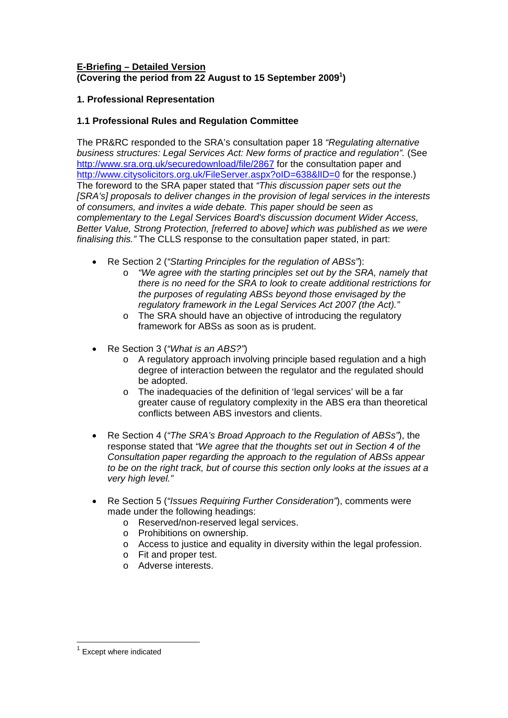## **E-Briefing – Detailed Version (Covering the period from 22 August to 15 September 2009[1](#page-0-0) )**

# **1. Professional Representation**

# **1.1 Professional Rules and Regulation Committee**

The PR&RC responded to the SRA's consultation paper 18 *"Regulating alternative business structures: Legal Services Act: New forms of practice and regulation".* (See <http://www.sra.org.uk/securedownload/file/2867> for the consultation paper and http://www.citysolicitors.org.uk/FileServer.aspx?oID=638&IID=0 for the response.) The foreword to the SRA paper stated that *"This discussion paper sets out the [SRA's] proposals to deliver changes in the provision of legal services in the interests of consumers, and invites a wide debate. This paper should be seen as complementary to the Legal Services Board's discussion document Wider Access, Better Value, Strong Protection, [referred to above] which was published as we were finalising this."* The CLLS response to the consultation paper stated, in part:

- Re Section 2 (*"Starting Principles for the regulation of ABSs"*):
	- o *"We agree with the starting principles set out by the SRA, namely that there is no need for the SRA to look to create additional restrictions for the purposes of regulating ABSs beyond those envisaged by the regulatory framework in the Legal Services Act 2007 (the Act)."*
	- o The SRA should have an objective of introducing the regulatory framework for ABSs as soon as is prudent.
- Re Section 3 (*"What is an ABS?"*)
	- o A regulatory approach involving principle based regulation and a high degree of interaction between the regulator and the regulated should be adopted.
	- o The inadequacies of the definition of 'legal services' will be a far greater cause of regulatory complexity in the ABS era than theoretical conflicts between ABS investors and clients.
- Re Section 4 (*"The SRA's Broad Approach to the Regulation of ABSs"*), the response stated that *"We agree that the thoughts set out in Section 4 of the Consultation paper regarding the approach to the regulation of ABSs appear to be on the right track, but of course this section only looks at the issues at a very high level."*
- Re Section 5 (*"Issues Requiring Further Consideration"*), comments were made under the following headings:
	- o Reserved/non-reserved legal services.
	- o Prohibitions on ownership.
	- o Access to justice and equality in diversity within the legal profession.
	- o Fit and proper test.
	- o Adverse interests.

 $\overline{a}$ 

<span id="page-0-0"></span><sup>1</sup> Except where indicated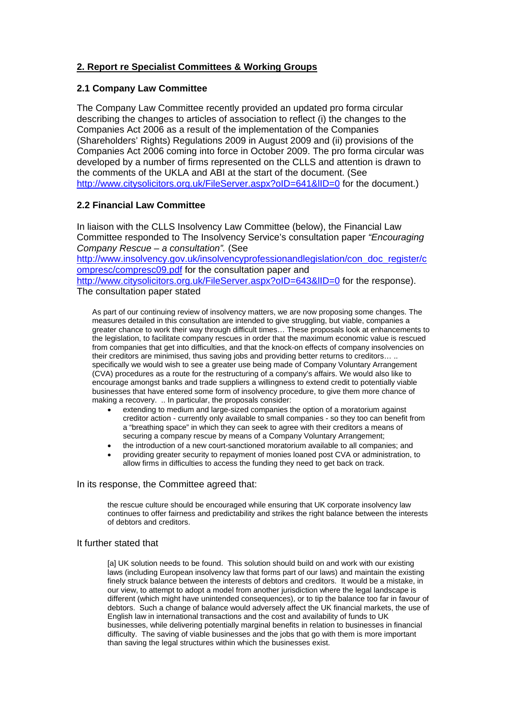# **2. Report re Specialist Committees & Working Groups**

### **2.1 Company Law Committee**

The Company Law Committee recently provided an updated pro forma circular describing the changes to articles of association to reflect (i) the changes to the Companies Act 2006 as a result of the implementation of the Companies (Shareholders' Rights) Regulations 2009 in August 2009 and (ii) provisions of the Companies Act 2006 coming into force in October 2009. The pro forma circular was developed by a number of firms represented on the CLLS and attention is drawn to the comments of the UKLA and ABI at the start of the document. (See <http://www.citysolicitors.org.uk/FileServer.aspx?oID=641&lID=0> for the document.)

## **2.2 Financial Law Committee**

In liaison with the CLLS Insolvency Law Committee (below), the Financial Law Committee responded to The Insolvency Service's consultation paper *"Encouraging Company Rescue – a consultation".* (See

[http://www.insolvency.gov.uk/insolvencyprofessionandlegislation/con\\_doc\\_register/c](http://www.insolvency.gov.uk/insolvencyprofessionandlegislation/con_doc_register/compresc/compresc09.pdf) [ompresc/compresc09.pdf](http://www.insolvency.gov.uk/insolvencyprofessionandlegislation/con_doc_register/compresc/compresc09.pdf) for the consultation paper and

http://www.citysolicitors.org.uk/FileServer.aspx?oID=643&IID=0 for the response). The consultation paper stated

As part of our continuing review of insolvency matters, we are now proposing some changes. The measures detailed in this consultation are intended to give struggling, but viable, companies a greater chance to work their way through difficult times… These proposals look at enhancements to the legislation, to facilitate company rescues in order that the maximum economic value is rescued from companies that get into difficulties, and that the knock-on effects of company insolvencies on their creditors are minimised, thus saving jobs and providing better returns to creditors… .. specifically we would wish to see a greater use being made of Company Voluntary Arrangement (CVA) procedures as a route for the restructuring of a company's affairs. We would also like to encourage amongst banks and trade suppliers a willingness to extend credit to potentially viable businesses that have entered some form of insolvency procedure, to give them more chance of making a recovery. .. In particular, the proposals consider:

- extending to medium and large-sized companies the option of a moratorium against creditor action - currently only available to small companies - so they too can benefit from a "breathing space" in which they can seek to agree with their creditors a means of securing a company rescue by means of a Company Voluntary Arrangement;
- the introduction of a new court-sanctioned moratorium available to all companies; and
- providing greater security to repayment of monies loaned post CVA or administration, to allow firms in difficulties to access the funding they need to get back on track.

### In its response, the Committee agreed that:

the rescue culture should be encouraged while ensuring that UK corporate insolvency law continues to offer fairness and predictability and strikes the right balance between the interests of debtors and creditors.

#### It further stated that

[a] UK solution needs to be found. This solution should build on and work with our existing laws (including European insolvency law that forms part of our laws) and maintain the existing finely struck balance between the interests of debtors and creditors. It would be a mistake, in our view, to attempt to adopt a model from another jurisdiction where the legal landscape is different (which might have unintended consequences), or to tip the balance too far in favour of debtors. Such a change of balance would adversely affect the UK financial markets, the use of English law in international transactions and the cost and availability of funds to UK businesses, while delivering potentially marginal benefits in relation to businesses in financial difficulty. The saving of viable businesses and the jobs that go with them is more important than saving the legal structures within which the businesses exist.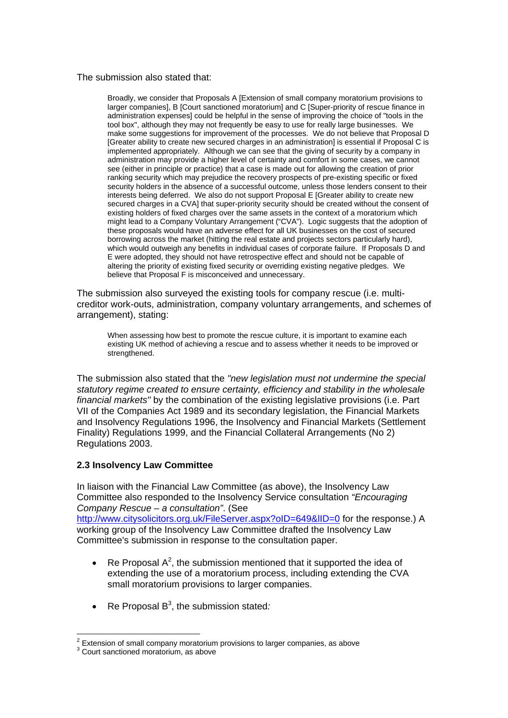### The submission also stated that:

Broadly, we consider that Proposals A [Extension of small company moratorium provisions to larger companies], B [Court sanctioned moratorium] and C [Super-priority of rescue finance in administration expenses] could be helpful in the sense of improving the choice of "tools in the tool box", although they may not frequently be easy to use for really large businesses. We make some suggestions for improvement of the processes. We do not believe that Proposal D [Greater ability to create new secured charges in an administration] is essential if Proposal C is implemented appropriately. Although we can see that the giving of security by a company in administration may provide a higher level of certainty and comfort in some cases, we cannot see (either in principle or practice) that a case is made out for allowing the creation of prior ranking security which may prejudice the recovery prospects of pre-existing specific or fixed security holders in the absence of a successful outcome, unless those lenders consent to their interests being deferred. We also do not support Proposal E [Greater ability to create new secured charges in a CVAI that super-priority security should be created without the consent of existing holders of fixed charges over the same assets in the context of a moratorium which might lead to a Company Voluntary Arrangement ("CVA"). Logic suggests that the adoption of these proposals would have an adverse effect for all UK businesses on the cost of secured borrowing across the market (hitting the real estate and projects sectors particularly hard), which would outweigh any benefits in individual cases of corporate failure. If Proposals D and E were adopted, they should not have retrospective effect and should not be capable of altering the priority of existing fixed security or overriding existing negative pledges. We believe that Proposal F is misconceived and unnecessary.

The submission also surveyed the existing tools for company rescue (i.e. multicreditor work-outs, administration, company voluntary arrangements, and schemes of arrangement), stating:

When assessing how best to promote the rescue culture, it is important to examine each existing UK method of achieving a rescue and to assess whether it needs to be improved or strengthened.

The submission also stated that the *"new legislation must not undermine the special statutory regime created to ensure certainty, efficiency and stability in the wholesale financial markets"* by the combination of the existing legislative provisions (i.e. Part VII of the Companies Act 1989 and its secondary legislation, the Financial Markets and Insolvency Regulations 1996, the Insolvency and Financial Markets (Settlement Finality) Regulations 1999, and the Financial Collateral Arrangements (No 2) Regulations 2003.

### **2.3 Insolvency Law Committee**

In liaison with the Financial Law Committee (as above), the Insolvency Law Committee also responded to the Insolvency Service consultation *"Encouraging Company Rescue – a consultation"*. (See http://www.citysolicitors.org.uk/FileServer.aspx?oID=649&IID=0 for the response.) A working group of the Insolvency Law Committee drafted the Insolvency Law Committee's submission in response to the consultation paper.

- Re Proposal  $A^2$  $A^2$ , the submission mentioned that it supported the idea of extending the use of a moratorium process, including extending the CVA small moratorium provisions to larger companies.
- Re Proposal B[3](#page-2-1) , the submission stated*:*

<sup>&</sup>lt;sup>2</sup> Extension of small company moratorium provisions to larger companies, as above

<span id="page-2-1"></span><span id="page-2-0"></span><sup>&</sup>lt;sup>3</sup> Court sanctioned moratorium, as above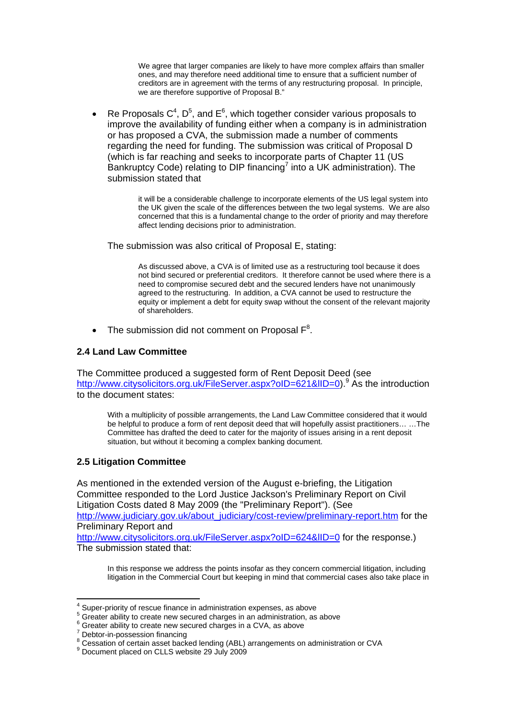We agree that larger companies are likely to have more complex affairs than smaller ones, and may therefore need additional time to ensure that a sufficient number of creditors are in agreement with the terms of any restructuring proposal. In principle, we are therefore supportive of Proposal B."

• Re Proposals  $C^4$ ,  $D^5$  $D^5$ , and  $E^6$  $E^6$ , which together consider various proposals to improve the availability of funding either when a company is in administration or has proposed a CVA, the submission made a number of comments regarding the need for funding. The submission was critical of Proposal D (which is far reaching and seeks to incorporate parts of Chapter 11 (US Bankruptcy Code) relating to DIP financing<sup>[7](#page-3-3)</sup> into a UK administration). The submission stated that

> it will be a considerable challenge to incorporate elements of the US legal system into the UK given the scale of the differences between the two legal systems. We are also concerned that this is a fundamental change to the order of priority and may therefore affect lending decisions prior to administration.

The submission was also critical of Proposal E, stating:

As discussed above, a CVA is of limited use as a restructuring tool because it does not bind secured or preferential creditors. It therefore cannot be used where there is a need to compromise secured debt and the secured lenders have not unanimously agreed to the restructuring. In addition, a CVA cannot be used to restructure the equity or implement a debt for equity swap without the consent of the relevant majority of shareholders.

• The submission did not comment on Proposal  $F^8$  $F^8$ .

## **2.4 Land Law Committee**

The Committee produced a suggested form of Rent Deposit Deed (see http://www.citysolicitors.org.uk/FileServer.aspx?oID=621&IID=0).<sup>[9](#page-3-5)</sup> As the introduction to the document states:

With a multiplicity of possible arrangements, the Land Law Committee considered that it would be helpful to produce a form of rent deposit deed that will hopefully assist practitioners… …The Committee has drafted the deed to cater for the majority of issues arising in a rent deposit situation, but without it becoming a complex banking document.

## **2.5 Litigation Committee**

As mentioned in the extended version of the August e-briefing, the Litigation Committee responded to the Lord Justice Jackson's Preliminary Report on Civil Litigation Costs dated 8 May 2009 (the "Preliminary Report"). (See [http://www.judiciary.gov.uk/about\\_judiciary/cost-review/preliminary-report.htm](http://www.judiciary.gov.uk/about_judiciary/cost-review/preliminary-report.htm) for the Preliminary Report and

http://www.citysolicitors.org.uk/FileServer.aspx?oID=624&IID=0 for the response.) The submission stated that:

In this response we address the points insofar as they concern commercial litigation, including litigation in the Commercial Court but keeping in mind that commercial cases also take place in

 $\overline{a}$ 

<span id="page-3-0"></span> $^4$  Super-priority of rescue finance in administration expenses, as above  $^5$  Creater objective as a straighter than  $\approx$ 

<span id="page-3-1"></span><sup>&</sup>lt;sup>5</sup> Greater ability to create new secured charges in an administration, as above

<span id="page-3-2"></span><sup>&</sup>lt;sup>6</sup> Greater ability to create new secured charges in a CVA, as above

<span id="page-3-3"></span> $7$  Debtor-in-possession financing

<span id="page-3-4"></span><sup>&</sup>lt;sup>8</sup> Cessation of certain asset backed lending (ABL) arrangements on administration or CVA<br>9 Decument placed on CLLS webgite 29, luly 2009

<span id="page-3-5"></span> $9$  Document placed on CLLS website 29 July 2009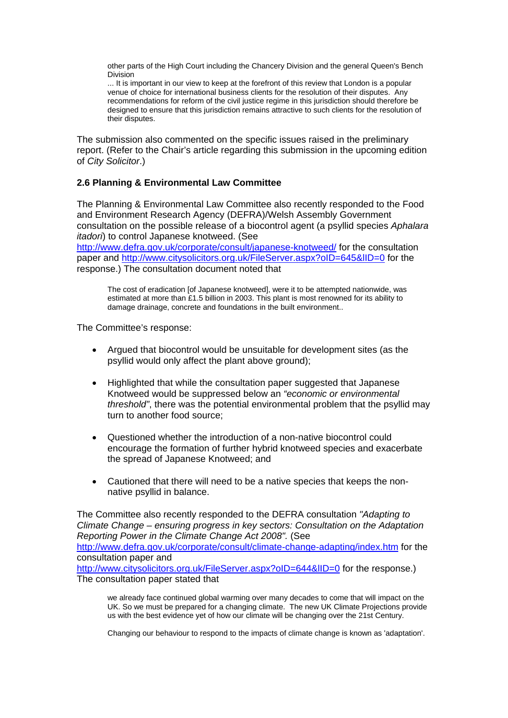other parts of the High Court including the Chancery Division and the general Queen's Bench Division

... It is important in our view to keep at the forefront of this review that London is a popular venue of choice for international business clients for the resolution of their disputes. Any recommendations for reform of the civil justice regime in this jurisdiction should therefore be designed to ensure that this jurisdiction remains attractive to such clients for the resolution of their disputes.

The submission also commented on the specific issues raised in the preliminary report. (Refer to the Chair's article regarding this submission in the upcoming edition of *City Solicitor*.)

## **2.6 Planning & Environmental Law Committee**

The Planning & Environmental Law Committee also recently responded to the Food and Environment Research Agency (DEFRA)/Welsh Assembly Government consultation on the possible release of a biocontrol agent (a psyllid species *Aphalara itadori*) to control Japanese knotweed. (See

<http://www.defra.gov.uk/corporate/consult/japanese-knotweed/> for the consultation paper and <http://www.citysolicitors.org.uk/FileServer.aspx?oID=645&lID=0>for the response.) The consultation document noted that

The cost of eradication [of Japanese knotweed], were it to be attempted nationwide, was estimated at more than £1.5 billion in 2003. This plant is most renowned for its ability to damage drainage, concrete and foundations in the built environment..

The Committee's response:

- Argued that biocontrol would be unsuitable for development sites (as the psyllid would only affect the plant above ground);
- Highlighted that while the consultation paper suggested that Japanese Knotweed would be suppressed below an *"economic or environmental threshold"*, there was the potential environmental problem that the psyllid may turn to another food source;
- Questioned whether the introduction of a non-native biocontrol could encourage the formation of further hybrid knotweed species and exacerbate the spread of Japanese Knotweed; and
- Cautioned that there will need to be a native species that keeps the nonnative psyllid in balance.

The Committee also recently responded to the DEFRA consultation *"Adapting to Climate Change – ensuring progress in key sectors: Consultation on the Adaptation Reporting Power in the Climate Change Act 2008".* (See <http://www.defra.gov.uk/corporate/consult/climate-change-adapting/index.htm>for the consultation paper and <http://www.citysolicitors.org.uk/FileServer.aspx?oID=644&lID=0> for the response.) The consultation paper stated that

we already face continued global warming over many decades to come that will impact on the UK. So we must be prepared for a changing climate. The new UK Climate Projections provide us with the best evidence yet of how our climate will be changing over the 21st Century.

Changing our behaviour to respond to the impacts of climate change is known as 'adaptation'.